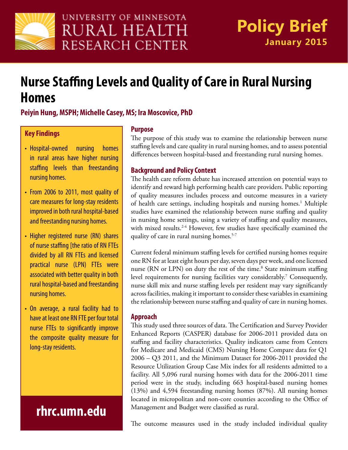

# **Nurse Staffing Levels and Quality of Care in Rural Nursing Homes**

### **Peiyin Hung, MSPH; Michelle Casey, MS; Ira Moscovice, PhD**

### **Key Findings**

- Hospital-owned nursing homes in rural areas have higher nursing staffing levels than freestanding nursing homes.
- From 2006 to 2011, most quality of care measures for long-stay residents improved in both rural hospital-based and freestanding nursing homes.
- Higher registered nurse (RN) shares of nurse staffing [the ratio of RN FTEs divided by all RN FTEs and licensed practical nurse (LPN) FTEs were associated with better quality in both rural hospital-based and freestanding nursing homes.
- On average, a rural facility had to have at least one RN FTE per four total nurse FTEs to significantly improve the composite quality measure for long-stay residents.

## **rhrc.umn.edu**

#### **Purpose**

The purpose of this study was to examine the relationship between nurse staffing levels and care quality in rural nursing homes, and to assess potential differences between hospital-based and freestanding rural nursing homes.

#### **Background and Policy Context**

The health care reform debate has increased attention on potential ways to identify and reward high performing health care providers. Public reporting of quality measures includes process and outcome measures in a variety of health care settings, including hospitals and nursing homes.<sup>1</sup> Multiple studies have examined the relationship between nurse staffing and quality in nursing home settings, using a variety of staffing and quality measures, with mixed results.<sup>2-4</sup> However, few studies have specifically examined the quality of care in rural nursing homes.<sup>5-7</sup>

Current federal minimum staffing levels for certified nursing homes require one RN for at least eight hours per day, seven days per week, and one licensed nurse (RN or LPN) on duty the rest of the time.<sup>8</sup> State minimum staffing level requirements for nursing facilities vary considerably.<sup>7</sup> Consequently, nurse skill mix and nurse staffing levels per resident may vary significantly across facilities, making it important to consider these variables in examining the relationship between nurse staffing and quality of care in nursing homes.

### **Approach**

This study used three sources of data. The Certification and Survey Provider Enhanced Reports (CASPER) database for 2006-2011 provided data on staffing and facility characteristics. Quality indicators came from Centers for Medicare and Medicaid (CMS) Nursing Home Compare data for Q1 2006 – Q3 2011, and the Minimum Dataset for 2006-2011 provided the Resource Utilization Group Case Mix index for all residents admitted to a facility. All 5,096 rural nursing homes with data for the 2006-2011 time period were in the study, including 663 hospital-based nursing homes (13%) and 4,594 freestanding nursing homes (87%). All nursing homes located in micropolitan and non-core counties according to the Office of Management and Budget were classified as rural.

The outcome measures used in the study included individual quality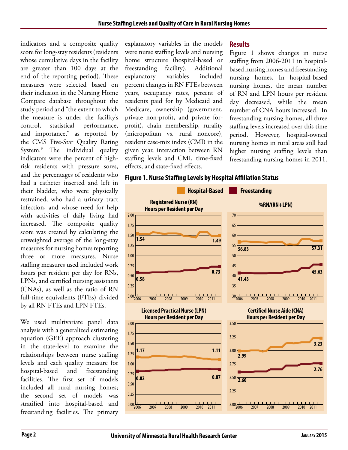indicators and a composite quality score for long-stay residents (residents whose cumulative days in the facility are greater than 100 days at the end of the reporting period). These measures were selected based on their inclusion in the Nursing Home Compare database throughout the study period and "the extent to which the measure is under the facility's control, statistical performance, and importance," as reported by the CMS Five-Star Quality Rating System.9 The individual quality indicators were the percent of highrisk residents with pressure sores, and the percentages of residents who had a catheter inserted and left in their bladder, who were physically restrained, who had a urinary tract infection, and whose need for help with activities of daily living had increased. The composite quality score was created by calculating the unweighted average of the long-stay measures for nursing homes reporting three or more measures. Nurse staffing measures used included work hours per resident per day for RNs, LPNs, and certified nursing assistants (CNAs), as well as the ratio of RN full-time equivalents (FTEs) divided by all RN FTEs and LPN FTEs.

We used multivariate panel data analysis with a generalized estimating equation (GEE) approach clustering in the state-level to examine the relationships between nurse staffing levels and each quality measure for hospital-based and freestanding facilities. The first set of models included all rural nursing homes; the second set of models was stratified into hospital-based and freestanding facilities. The primary

explanatory variables in the models were nurse staffing levels and nursing home structure (hospital-based or freestanding facility). Additional explanatory variables included percent changes in RN FTEs between years, occupancy rates, percent of residents paid for by Medicaid and Medicare, ownership (government, private non-profit, and private forprofit), chain membership, rurality (micropolitan vs. rural noncore), resident case-mix index (CMI) in the given year, interaction between RN staffing levels and CMI, time-fixed effects, and state-fixed effects.

#### **Results**

Figure 1 shows changes in nurse staffing from 2006-2011 in hospitalbased nursing homes and freestanding nursing homes. In hospital-based nursing homes, the mean number of RN and LPN hours per resident day decreased, while the mean number of CNA hours increased. In freestanding nursing homes, all three staffing levels increased over this time period. However, hospital-owned nursing homes in rural areas still had higher nursing staffing levels than freestanding nursing homes in 2011.



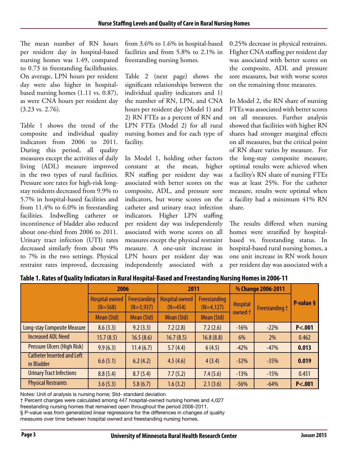The mean number of RN hours per resident day in hospital-based nursing homes was 1.49, compared to 0.73 in freestanding facilithunies. On average, LPN hours per resident day were also higher in hospitalbased nursing homes (1.11 vs. 0.87), as were CNA hours per resident day (3.23 vs. 2.76).

Table 1 shows the trend of the composite and individual quality indicators from 2006 to 2011. During this period, all quality measures except the activities of daily living (ADL) measure improved in the two types of rural facilities. Pressure sore rates for high-risk longstay residents decreased from 9.9% to 5.7% in hospital-based facilities and from 11.4% to 6.0% in freestanding facilities. Indwelling catheter or incontinence of bladder also reduced about one-third from 2006 to 2011. Urinary tract infection (UTI) rates decreased similarly from about 9% to 7% in the two settings. Physical restraint rates improved, decreasing

from 3.6% to 1.6% in hospital-based facilities and from 5.8% to 2.1% in freestanding nursing homes.

Table 2 (next page) shows the significant relationships between the individual quality indicators and 1) the number of RN, LPN, and CNA hours per resident day (Model 1) and 2) RN FTEs as a percent of RN and LPN FTEs (Model 2) for all rural nursing homes and for each type of facility.

In Model 1, holding other factors constant at the mean, higher RN staffing per resident day was associated with better scores on the composite, ADL, and pressure sore indicators, but worse scores on the catheter and urinary tract infection indicators. Higher LPN staffing per resident day was independently associated with worse scores on all measures except the physical restraint measure. A one-unit increase in LPN hours per resident day was independently associated with a

0.25% decrease in physical restraints. Higher CNA staffing per resident day was associated with better scores on the composite, ADL and pressure sore measures, but with worse scores on the remaining three measures.

In Model 2, the RN share of nursing FTEs was associated with better scores on all measures. Further analysis showed that facilities with higher RN shares had stronger marginal effects on all measures, but the critical point of RN share varies by measure. For the long-stay composite measure, optimal results were achieved when a facility's RN share of nursing FTEs was at least 25%. For the catheter measure, results were optimal when a facility had a minimum 41% RN share.

The results differed when nursing homes were stratified by hospitalbased vs. freestanding status. In hospital-based rural nursing homes, a one unit increase in RN work hours per resident day was associated with a

|                                                 | 2006                               |                             | 2011                               |                             | % Change 2006-2011 |                |           |
|-------------------------------------------------|------------------------------------|-----------------------------|------------------------------------|-----------------------------|--------------------|----------------|-----------|
|                                                 | <b>Hospital owned</b><br>$(N=568)$ | Freestanding<br>$(N=3,937)$ | <b>Hospital owned</b><br>$(N=454)$ | Freestanding<br>$(N=4,127)$ | <b>Hospital</b>    | Freestanding + | P-value § |
|                                                 | Mean (Std)                         | Mean (Std)                  | Mean (Std)                         | Mean (Std)                  | owned t            |                |           |
| Long-stay Composite Measure                     | 8.6(3.3)                           | 9.2(3.3)                    | 7.2(2.8)                           | 7.2(2.6)                    | $-16%$             | $-22%$         | P < .001  |
| <b>Increased ADL Need</b>                       | 15.7(8.5)                          | 16.5(8.6)                   | 16.7(8.5)                          | 16.8(8.8)                   | 6%                 | 2%             | 0.462     |
| <b>Pressure Ulcers (High Risk)</b>              | 9.9(6.3)                           | 11.4(6.7)                   | 5.7(4.4)                           | 6(4.5)                      | $-42%$             | $-47%$         | 0.013     |
| <b>Catheter Inserted and Left</b><br>in Bladder | 6.6(5.1)                           | 6.2(4.2)                    | 4.5(4.6)                           | 4(3.4)                      | $-32%$             | $-35%$         | 0.019     |
| <b>Urinary Tract Infections</b>                 | 8.8(5.4)                           | 8.7(5.4)                    | 7.7(5.2)                           | 7.4(5.6)                    | $-13%$             | $-15%$         | 0.451     |
| <b>Physical Restraints</b>                      | 3.6(5.3)                           | 5.8(6.7)                    | 1.6(3.2)                           | 2.1(3.6)                    | $-56%$             | $-64%$         | P < .001  |

**Table 1. Rates of Quality Indicators in Rural Hospital-Based and Freestanding Nursing Homes in 2006-11**

Notes: Unit of analysis is nursing home; Std- standard deviation

† Percent changes were calculated among 447 hospital-owned nursing homes and 4,027

freestanding nursing homes that remained open throughout the period 2006-2011.

§ P-value was from generalized linear regressions for the differences in changes of quality measures over time between hospital owned and freestanding nursing homes.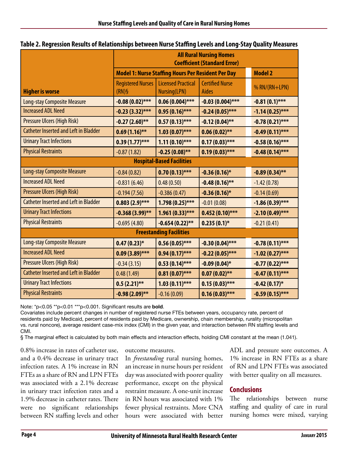| Table 2. Regression Results of Relationships between Nurse Staffing Levels and Long-Stay Quality Measures |  |  |  |
|-----------------------------------------------------------------------------------------------------------|--|--|--|
|-----------------------------------------------------------------------------------------------------------|--|--|--|

|                                              | <b>All Rural Nursing Homes</b><br><b>Coefficient (Standard Error)</b> |                                           |                                        |                   |  |  |  |  |  |
|----------------------------------------------|-----------------------------------------------------------------------|-------------------------------------------|----------------------------------------|-------------------|--|--|--|--|--|
|                                              | <b>Model 1: Nurse Staffing Hours Per Resident Per Day</b>             | <b>Model 2</b>                            |                                        |                   |  |  |  |  |  |
| <b>Higher is worse</b>                       | <b>Registered Nurses</b><br>$(RN)$ §                                  | <b>Licensed Practical</b><br>Nursing(LPN) | <b>Certified Nurse</b><br><b>Aides</b> | % RN/(RN+LPN)     |  |  |  |  |  |
| <b>Long-stay Composite Measure</b>           | $-0.08(0.02)$ ***                                                     | $0.06(0.004)$ ***                         | $-0.03(0.004)$ ***                     | $-0.81(0.1)$ ***  |  |  |  |  |  |
| <b>Increased ADL Need</b>                    | $-0.23(3.32)$ ***                                                     | $0.95(0.16)$ ***                          | $-0.24(0.05)$ ***                      | $-1.14(0.25)$ *** |  |  |  |  |  |
| Pressure Ulcers (High Risk)                  | $-0.27(2.60)$ **                                                      | $0.57(0.13)$ ***                          | $-0.12(0.04)$ **                       | $-0.78(0.21)$ *** |  |  |  |  |  |
| <b>Catheter Inserted and Left in Bladder</b> | $0.69(1.16)$ **                                                       | $1.03(0.07)$ ***                          | $0.06(0.02)$ **                        | $-0.49(0.11)$ *** |  |  |  |  |  |
| <b>Urinary Tract Infections</b>              | $0.39(1.77)$ ***                                                      | $1.11(0.10)$ ***                          | $0.17(0.03)$ ***                       | $-0.58(0.16)$ *** |  |  |  |  |  |
| <b>Physical Restraints</b>                   | $-0.87(1.82)$                                                         | $-0.25(0.08)$ **                          | $0.19(0.03)$ ***                       | $-0.48(0.14)$ *** |  |  |  |  |  |
| <b>Hospital-Based Facilities</b>             |                                                                       |                                           |                                        |                   |  |  |  |  |  |
| <b>Long-stay Composite Measure</b>           | $-0.84(0.82)$                                                         | $0.70(0.13)$ ***                          | $-0.36(0.16)$ *                        | $-0.89(0.34)$ **  |  |  |  |  |  |
| <b>Increased ADL Need</b>                    | $-0.831(6.46)$                                                        | 0.48(0.50)                                | $-0.48(0.16)$ **                       | $-1.42(0.78)$     |  |  |  |  |  |
| Pressure Ulcers (High Risk)                  | $-0.194(7.56)$                                                        | $-0.386(0.47)$                            | $-0.36(0.16)$ *                        | $-0.14(0.69)$     |  |  |  |  |  |
| <b>Catheter Inserted and Left in Bladder</b> | $0.803(2.9)$ ***                                                      | $1.798(0.25)$ ***                         | $-0.01(0.08)$                          | $-1.86(0.39)$ *** |  |  |  |  |  |
| <b>Urinary Tract Infections</b>              | $-0.368(3.99)$ **                                                     | $1.961(0.33)$ ***                         | $0.452(0.10)$ ***                      | $-2.10(0.49)$ *** |  |  |  |  |  |
| <b>Physical Restraints</b>                   | $-0.695(4.80)$                                                        | $-0.654(0.22)$ **                         | $0.235(0.1)$ *                         | $-0.21(0.41)$     |  |  |  |  |  |
| <b>Freestanding Facilities</b>               |                                                                       |                                           |                                        |                   |  |  |  |  |  |
| <b>Long-stay Composite Measure</b>           | $0.47(0.23)*$                                                         | $0.56(0.05)$ ***                          | $-0.30(0.04)$ ***                      | $-0.78(0.11)$ *** |  |  |  |  |  |
| <b>Increased ADL Need</b>                    | $0.09(3.89)$ ***                                                      | $0.94(0.17)$ ***                          | $-0.22(0.05)$ ***                      | $-1.02(0.27)$ *** |  |  |  |  |  |
| Pressure Ulcers (High Risk)                  | $-0.34(3.15)$                                                         | $0.53(0.14)$ ***                          | $-0.09(0.04)$ *                        | $-0.77(0.22)$ *** |  |  |  |  |  |
| <b>Catheter Inserted and Left in Bladder</b> | 0.48(1.49)                                                            | $0.81(0.07)$ ***                          | $0.07(0.02)$ **                        | $-0.47(0.11)$ *** |  |  |  |  |  |
| <b>Urinary Tract Infections</b>              | $0.5(2.21)$ **                                                        | $1.03(0.11)$ ***                          | $0.15(0.03)$ ***                       | $-0.42(0.17)*$    |  |  |  |  |  |
| <b>Physical Restraints</b>                   | $-0.98(2.09)$ **                                                      | $-0.16(0.09)$                             | $0.16(0.03)$ ***                       | $-0.59(0.15)$ *** |  |  |  |  |  |

Note: \*p<0.05 \*\*p<0.01 \*\*\*p<0.001. Significant results are **bold**.

Covariates include percent changes in number of registered nurse FTEs between years, occupancy rate, percent of residents paid by Medicaid, percent of residents paid by Medicare, ownership, chain membership, rurality (micropolitan vs. rural noncore), average resident case-mix index (CMI) in the given year, and interaction between RN staffing levels and CMI.

§ The marginal effect is calculated by both main effects and interaction effects, holding CMI constant at the mean (1.041).

0.8% increase in rates of catheter use, and a 0.4% decrease in urinary tract infection rates. A 1% increase in RN FTEs as a share of RN and LPN FTEs was associated with a 2.1% decrease in urinary tract infection rates and a 1.9% decrease in catheter rates. There were no significant relationships between RN staffing levels and other

outcome measures.

In *freestanding* rural nursing homes, an increase in nurse hours per resident day was associated with poorer quality performance, except on the physical restraint measure. A one-unit increase in RN hours was associated with 1% fewer physical restraints. More CNA hours were associated with better ADL and pressure sore outcomes. A 1% increase in RN FTEs as a share of RN and LPN FTEs was associated with better quality on all measures.

#### **Conclusions**

The relationships between nurse staffing and quality of care in rural nursing homes were mixed, varying